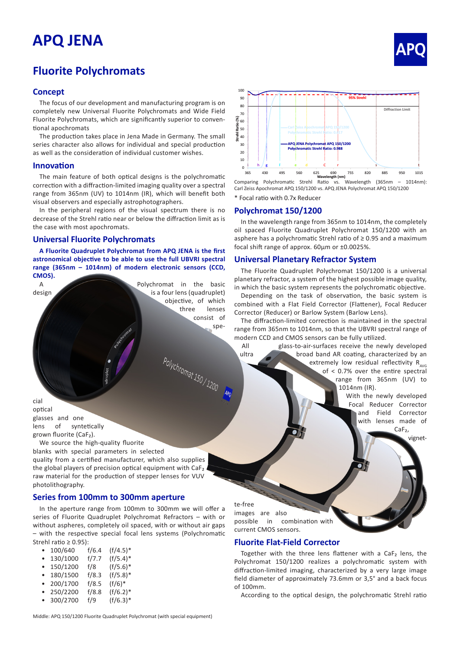# **APQ JENA APQ**

# **Fluorite Polychromats**

#### **Concept**

The focus of our development and manufacturing program is on completely new Universal Fluorite Polychromats and Wide Field Fluorite Polychromats, which are significantly superior to conventional apochromats

The production takes place in Jena Made in Germany. The small series character also allows for individual and special production as well as the consideration of individual customer wishes.

#### **Innovation**

The main feature of both optical designs is the polychromatic correction with a diffraction-limited imaging quality over a spectral range from 365nm (UV) to 1014nm (IR), which will benefit both visual observers and especially astrophotographers.

In the peripheral regions of the visual spectrum there is no decrease of the Strehl ratio near or below the diffraction limit as is the case with most apochromats.

#### **Universal Fluorite Polychromats**

**A Fluorite Quadruplet Polychromat from APQ JENA is the first astronomical objective to be able to use the full UBVRI spectral range (365nm – 1014nm) of modern electronic sensors (CCD, CMOS).**

A Polychromat in the basic design design is a four lens (quadruplet) objective, of which three lenses consist of spe-

Polychromat 150/1200 APO



\* Focal ratio with 0.7x Reducer Comparing Polychromatic Strehl Ratio vs. Wavelength (365nm – 1014nm): Carl Zeiss Apochromat APQ 150/1200 vs. APQ JENA Polychromat APQ 150/1200 **Wavelength (nm)**

## **Polychromat 150/1200**

In the wavelength range from 365nm to 1014nm, the completely oil spaced Fluorite Quadruplet Polychromat 150/1200 with an asphere has a polychromatic Strehl ratio of ≥ 0.95 and a maximum focal shift range of approx. 60µm or ±0.0025%.

## **Universal Planetary Refractor System**

The Fluorite Quadruplet Polychromat 150/1200 is a universal planetary refractor, a system of the highest possible image quality, in which the basic system represents the polychromatic objective.

Depending on the task of observation, the basic system is combined with a Flat Field Corrector (Flattener), Focal Reducer Corrector (Reducer) or Barlow System (Barlow Lens).

The diffraction-limited correction is maintained in the spectral range from 365nm to 1014nm, so that the UBVRI spectral range of modern CCD and CMOS sensors can be fully utilized.

All glass-to-air-surfaces receive the newly developed ultra **broad band AR coating, characterized by an** extremely low residual reflectivity  $R_{avg}$ of < 0.7% over the entire spectral range from 365nm (UV) to 1014nm (IR).

> With the newly developed Focal Reducer Corrector and Field Corrector with lenses made of CaF<sub>2</sub>,

> > vignet-

cial optical glasses and one lens of syntetically grown fluorite (CaF₂).

We source the high-quality fluorite blanks with special parameters in selected quality from a certified manufacturer, which also supplies the global players of precision optical equipment with CaF₂ raw material for the production of stepper lenses for VUV photolithography.

#### **Series from 100mm to 300mm aperture**

In the aperture range from 100mm to 300mm we will offer a series of Fluorite Quadruplet Polychromat Refractors – with or without aspheres, completely oil spaced, with or without air gaps – with the respective special focal lens systems (Polychromatic Strehl ratio ≥ 0.95):

| ٠ | 100/640  | f/6.4   | $(f/4.5)^*$   |
|---|----------|---------|---------------|
|   | 12011000 | $1 - -$ | $ f  =  f  +$ |

- 130/1000 f/7.7 (f/5.4)\*
- 150/1200 f/8 (f/5.6)\* • 180/1500 f/8.3 (f/5.8)\*
- 200/1700 f/8.5 (f/6)\*
- 250/2200 f/8.8 (f/6.2)\*
- 
- 300/2700 f/9 (f/6.3)\*

te-free

images are also possible in combination with current CMOS sensors.

#### **Fluorite Flat-Field Corrector**

Together with the three lens flattener with a CaF₂ lens, the Polychromat 150/1200 realizes a polychromatic system with diffraction-limited imaging, characterized by a very large image field diameter of approximately 73.6mm or 3,5° and a back focus of 100mm.

According to the optical design, the polychromatic Strehl ratio

Middle: APQ 150/1200 Fluorite Quadruplet Polychromat (with special equipment)